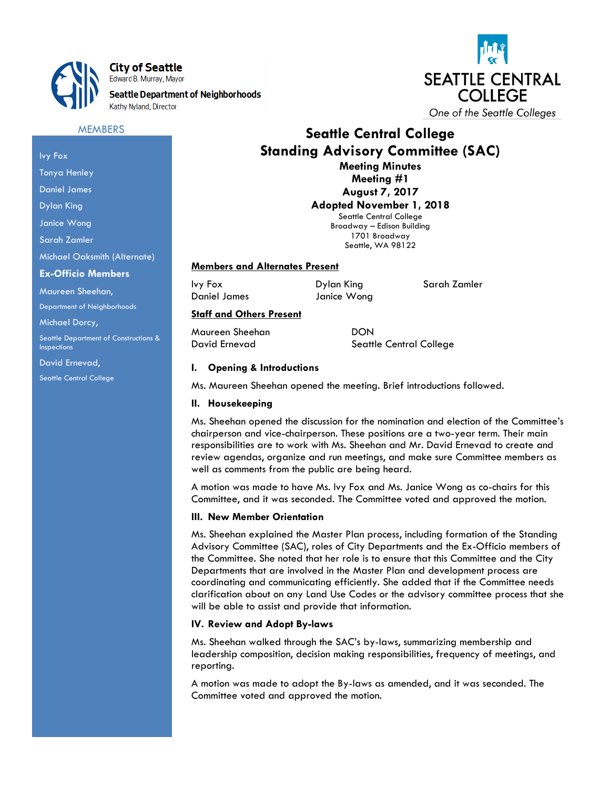

City of Seattle Edward B. Murray, Mayor

**Seattle Department of Neighborhoods** Kathy Nyland, Director



# **Seattle Central College Standing Advisory Committee (SAC) Meeting Minutes Meeting #1**

**August 7, 2017 Adopted November 1, 2018** Seattle Central College Broadway – Edison Building 1701 Broadway

Seattle, WA 98122

#### **Members and Alternates Present**

Ivy Fox **Dylan King** Sarah Zamler

Daniel James Janice Wong

# **Staff and Others Present**

Maureen Sheehan DON

David Ernevad Seattle Central College

# **I. Opening & Introductions**

Ms. Maureen Sheehan opened the meeting. Brief introductions followed.

## **II. Housekeeping**

Ms. Sheehan opened the discussion for the nomination and election of the Committee's chairperson and vice-chairperson. These positions are a two-year term. Their main responsibilities are to work with Ms. Sheehan and Mr. David Ernevad to create and review agendas, organize and run meetings, and make sure Committee members as well as comments from the public are being heard.

A motion was made to have Ms. Ivy Fox and Ms. Janice Wong as co-chairs for this Committee, and it was seconded. The Committee voted and approved the motion.

## **III. New Member Orientation**

Ms. Sheehan explained the Master Plan process, including formation of the Standing Advisory Committee (SAC), roles of City Departments and the Ex-Officio members of the Committee. She noted that her role is to ensure that this Committee and the City Departments that are involved in the Master Plan and development process are coordinating and communicating efficiently. She added that if the Committee needs clarification about on any Land Use Codes or the advisory committee process that she will be able to assist and provide that information.

## **IV. Review and Adopt By-laws**

Ms. Sheehan walked through the SAC's by-laws, summarizing membership and leadership composition, decision making responsibilities, frequency of meetings, and reporting.

A motion was made to adopt the By-laws as amended, and it was seconded. The Committee voted and approved the motion.

Ivy Fox

Tonya Henley

Daniel James

Dylan King

Janice Wong

Sarah Zamler

Michael Oaksmith (Alternate)

**MEMBERS** 

#### **Ex-Officio Members**

Maureen Sheehan,

Department of Neighborhoods

Michael Dorcy,

Seattle Department of Constructions & **Inspections** 

David Ernevad,

Seattle Central College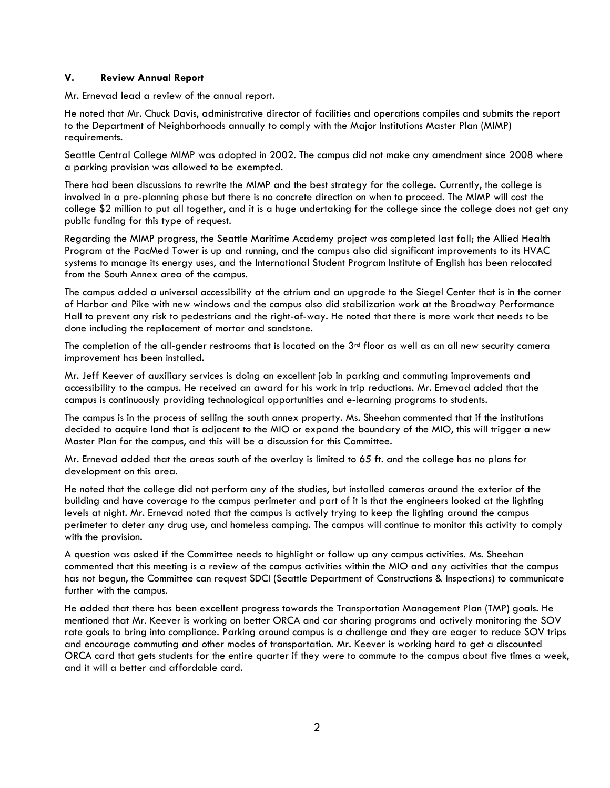# **V. Review Annual Report**

Mr. Ernevad lead a review of the annual report.

He noted that Mr. Chuck Davis, administrative director of facilities and operations compiles and submits the report to the Department of Neighborhoods annually to comply with the Major Institutions Master Plan (MIMP) requirements.

Seattle Central College MIMP was adopted in 2002. The campus did not make any amendment since 2008 where a parking provision was allowed to be exempted.

There had been discussions to rewrite the MIMP and the best strategy for the college. Currently, the college is involved in a pre-planning phase but there is no concrete direction on when to proceed. The MIMP will cost the college \$2 million to put all together, and it is a huge undertaking for the college since the college does not get any public funding for this type of request.

Regarding the MIMP progress, the Seattle Maritime Academy project was completed last fall; the Allied Health Program at the PacMed Tower is up and running, and the campus also did significant improvements to its HVAC systems to manage its energy uses, and the International Student Program Institute of English has been relocated from the South Annex area of the campus.

The campus added a universal accessibility at the atrium and an upgrade to the Siegel Center that is in the corner of Harbor and Pike with new windows and the campus also did stabilization work at the Broadway Performance Hall to prevent any risk to pedestrians and the right-of-way. He noted that there is more work that needs to be done including the replacement of mortar and sandstone.

The completion of the all-gender restrooms that is located on the  $3<sup>rd</sup>$  floor as well as an all new security camera improvement has been installed.

Mr. Jeff Keever of auxiliary services is doing an excellent job in parking and commuting improvements and accessibility to the campus. He received an award for his work in trip reductions. Mr. Ernevad added that the campus is continuously providing technological opportunities and e-learning programs to students.

The campus is in the process of selling the south annex property. Ms. Sheehan commented that if the institutions decided to acquire land that is adjacent to the MIO or expand the boundary of the MIO, this will trigger a new Master Plan for the campus, and this will be a discussion for this Committee.

Mr. Ernevad added that the areas south of the overlay is limited to 65 ft. and the college has no plans for development on this area.

He noted that the college did not perform any of the studies, but installed cameras around the exterior of the building and have coverage to the campus perimeter and part of it is that the engineers looked at the lighting levels at night. Mr. Ernevad noted that the campus is actively trying to keep the lighting around the campus perimeter to deter any drug use, and homeless camping. The campus will continue to monitor this activity to comply with the provision.

A question was asked if the Committee needs to highlight or follow up any campus activities. Ms. Sheehan commented that this meeting is a review of the campus activities within the MIO and any activities that the campus has not begun, the Committee can request SDCI (Seattle Department of Constructions & Inspections) to communicate further with the campus.

He added that there has been excellent progress towards the Transportation Management Plan (TMP) goals. He mentioned that Mr. Keever is working on better ORCA and car sharing programs and actively monitoring the SOV rate goals to bring into compliance. Parking around campus is a challenge and they are eager to reduce SOV trips and encourage commuting and other modes of transportation. Mr. Keever is working hard to get a discounted ORCA card that gets students for the entire quarter if they were to commute to the campus about five times a week, and it will a better and affordable card.